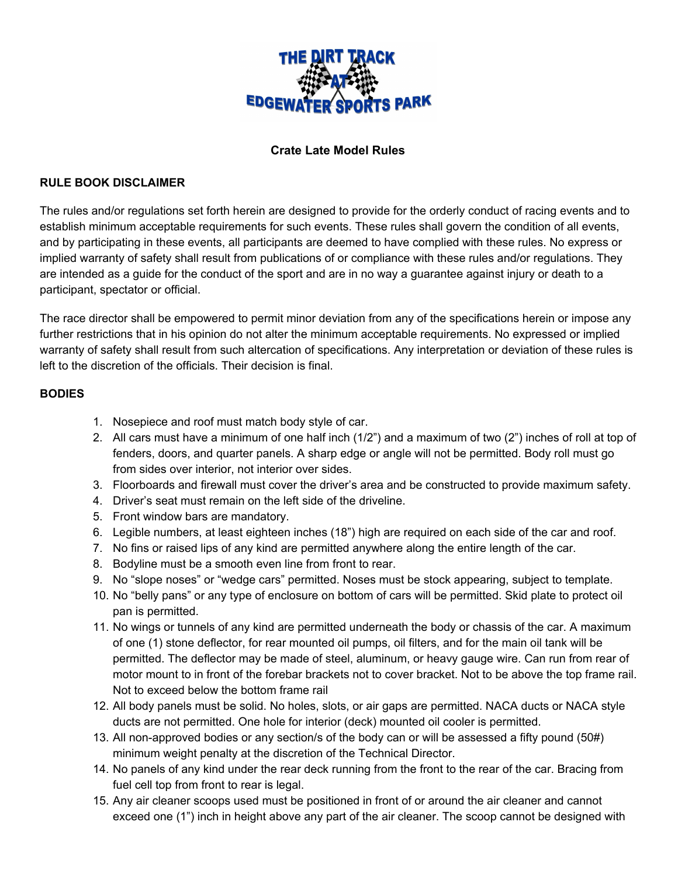

### **Crate Late Model Rules**

#### **RULE BOOK DISCLAIMER**

The rules and/or regulations set forth herein are designed to provide for the orderly conduct of racing events and to establish minimum acceptable requirements for such events. These rules shall govern the condition of all events, and by participating in these events, all participants are deemed to have complied with these rules. No express or implied warranty of safety shall result from publications of or compliance with these rules and/or regulations. They are intended as a guide for the conduct of the sport and are in no way a guarantee against injury or death to a participant, spectator or official.

The race director shall be empowered to permit minor deviation from any of the specifications herein or impose any further restrictions that in his opinion do not alter the minimum acceptable requirements. No expressed or implied warranty of safety shall result from such altercation of specifications. Any interpretation or deviation of these rules is left to the discretion of the officials. Their decision is final.

#### **BODIES**

- 1. Nosepiece and roof must match body style of car.
- 2. All cars must have a minimum of one half inch (1/2") and a maximum of two (2") inches of roll at top of fenders, doors, and quarter panels. A sharp edge or angle will not be permitted. Body roll must go from sides over interior, not interior over sides.
- 3. Floorboards and firewall must cover the driver's area and be constructed to provide maximum safety.
- 4. Driver's seat must remain on the left side of the driveline.
- 5. Front window bars are mandatory.
- 6. Legible numbers, at least eighteen inches (18") high are required on each side of the car and roof.
- 7. No fins or raised lips of any kind are permitted anywhere along the entire length of the car.
- 8. Bodyline must be a smooth even line from front to rear.
- 9. No "slope noses" or "wedge cars" permitted. Noses must be stock appearing, subject to template.
- 10. No "belly pans" or any type of enclosure on bottom of cars will be permitted. Skid plate to protect oil pan is permitted.
- 11. No wings or tunnels of any kind are permitted underneath the body or chassis of the car. A maximum of one (1) stone deflector, for rear mounted oil pumps, oil filters, and for the main oil tank will be permitted. The deflector may be made of steel, aluminum, or heavy gauge wire. Can run from rear of motor mount to in front of the forebar brackets not to cover bracket. Not to be above the top frame rail. Not to exceed below the bottom frame rail
- 12. All body panels must be solid. No holes, slots, or air gaps are permitted. NACA ducts or NACA style ducts are not permitted. One hole for interior (deck) mounted oil cooler is permitted.
- 13. All non-approved bodies or any section/s of the body can or will be assessed a fifty pound (50#) minimum weight penalty at the discretion of the Technical Director.
- 14. No panels of any kind under the rear deck running from the front to the rear of the car. Bracing from fuel cell top from front to rear is legal.
- 15. Any air cleaner scoops used must be positioned in front of or around the air cleaner and cannot exceed one (1") inch in height above any part of the air cleaner. The scoop cannot be designed with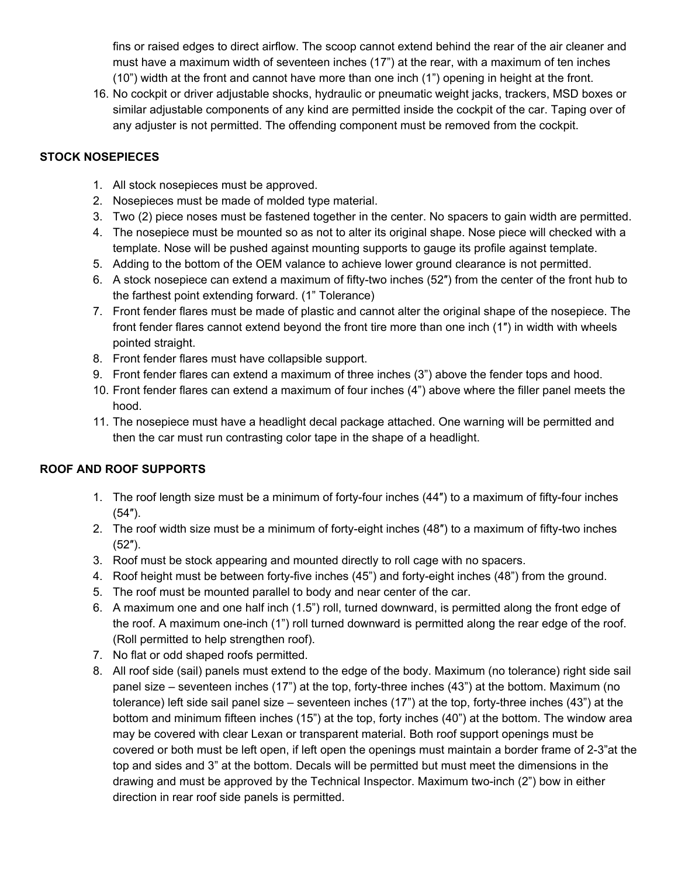fins or raised edges to direct airflow. The scoop cannot extend behind the rear of the air cleaner and must have a maximum width of seventeen inches (17") at the rear, with a maximum of ten inches (10") width at the front and cannot have more than one inch (1") opening in height at the front.

16. No cockpit or driver adjustable shocks, hydraulic or pneumatic weight jacks, trackers, MSD boxes or similar adjustable components of any kind are permitted inside the cockpit of the car. Taping over of any adjuster is not permitted. The offending component must be removed from the cockpit.

### **STOCK NOSEPIECES**

- 1. All stock nosepieces must be approved.
- 2. Nosepieces must be made of molded type material.
- 3. Two (2) piece noses must be fastened together in the center. No spacers to gain width are permitted.
- 4. The nosepiece must be mounted so as not to alter its original shape. Nose piece will checked with a template. Nose will be pushed against mounting supports to gauge its profile against template.
- 5. Adding to the bottom of the OEM valance to achieve lower ground clearance is not permitted.
- 6. A stock nosepiece can extend a maximum of fifty-two inches (52″) from the center of the front hub to the farthest point extending forward. (1" Tolerance)
- 7. Front fender flares must be made of plastic and cannot alter the original shape of the nosepiece. The front fender flares cannot extend beyond the front tire more than one inch (1″) in width with wheels pointed straight.
- 8. Front fender flares must have collapsible support.
- 9. Front fender flares can extend a maximum of three inches (3") above the fender tops and hood.
- 10. Front fender flares can extend a maximum of four inches (4") above where the filler panel meets the hood.
- 11. The nosepiece must have a headlight decal package attached. One warning will be permitted and then the car must run contrasting color tape in the shape of a headlight.

## **ROOF AND ROOF SUPPORTS**

- 1. The roof length size must be a minimum of forty-four inches (44″) to a maximum of fifty-four inches (54″).
- 2. The roof width size must be a minimum of forty-eight inches (48″) to a maximum of fifty-two inches (52″).
- 3. Roof must be stock appearing and mounted directly to roll cage with no spacers.
- 4. Roof height must be between forty-five inches (45") and forty-eight inches (48") from the ground.
- 5. The roof must be mounted parallel to body and near center of the car.
- 6. A maximum one and one half inch (1.5") roll, turned downward, is permitted along the front edge of the roof. A maximum one-inch (1") roll turned downward is permitted along the rear edge of the roof. (Roll permitted to help strengthen roof).
- 7. No flat or odd shaped roofs permitted.
- 8. All roof side (sail) panels must extend to the edge of the body. Maximum (no tolerance) right side sail panel size – seventeen inches (17") at the top, forty-three inches (43") at the bottom. Maximum (no tolerance) left side sail panel size – seventeen inches (17") at the top, forty-three inches (43") at the bottom and minimum fifteen inches (15") at the top, forty inches (40") at the bottom. The window area may be covered with clear Lexan or transparent material. Both roof support openings must be covered or both must be left open, if left open the openings must maintain a border frame of 2-3"at the top and sides and 3" at the bottom. Decals will be permitted but must meet the dimensions in the drawing and must be approved by the Technical Inspector. Maximum two-inch (2") bow in either direction in rear roof side panels is permitted.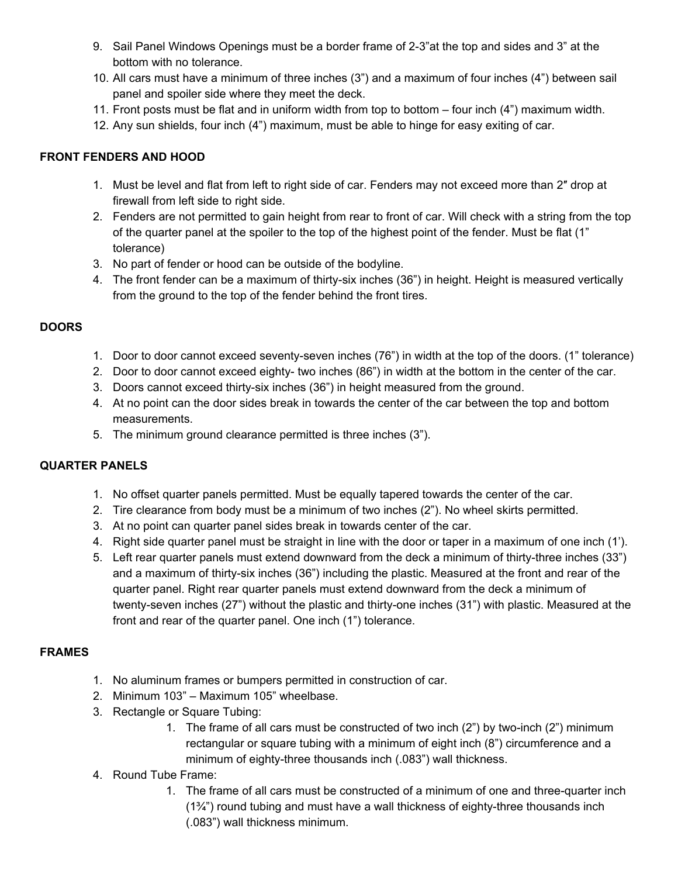- 9. Sail Panel Windows Openings must be a border frame of 2-3"at the top and sides and 3" at the bottom with no tolerance.
- 10. All cars must have a minimum of three inches (3") and a maximum of four inches (4") between sail panel and spoiler side where they meet the deck.
- 11. Front posts must be flat and in uniform width from top to bottom four inch (4") maximum width.
- 12. Any sun shields, four inch (4") maximum, must be able to hinge for easy exiting of car.

### **FRONT FENDERS AND HOOD**

- 1. Must be level and flat from left to right side of car. Fenders may not exceed more than 2″ drop at firewall from left side to right side.
- 2. Fenders are not permitted to gain height from rear to front of car. Will check with a string from the top of the quarter panel at the spoiler to the top of the highest point of the fender. Must be flat (1" tolerance)
- 3. No part of fender or hood can be outside of the bodyline.
- 4. The front fender can be a maximum of thirty-six inches (36") in height. Height is measured vertically from the ground to the top of the fender behind the front tires.

### **DOORS**

- 1. Door to door cannot exceed seventy-seven inches (76") in width at the top of the doors. (1" tolerance)
- 2. Door to door cannot exceed eighty- two inches (86") in width at the bottom in the center of the car.
- 3. Doors cannot exceed thirty-six inches (36") in height measured from the ground.
- 4. At no point can the door sides break in towards the center of the car between the top and bottom measurements.
- 5. The minimum ground clearance permitted is three inches (3").

## **QUARTER PANELS**

- 1. No offset quarter panels permitted. Must be equally tapered towards the center of the car.
- 2. Tire clearance from body must be a minimum of two inches (2"). No wheel skirts permitted.
- 3. At no point can quarter panel sides break in towards center of the car.
- 4. Right side quarter panel must be straight in line with the door or taper in a maximum of one inch (1').
- 5. Left rear quarter panels must extend downward from the deck a minimum of thirty-three inches (33") and a maximum of thirty-six inches (36") including the plastic. Measured at the front and rear of the quarter panel. Right rear quarter panels must extend downward from the deck a minimum of twenty-seven inches (27") without the plastic and thirty-one inches (31") with plastic. Measured at the front and rear of the quarter panel. One inch (1") tolerance.

## **FRAMES**

- 1. No aluminum frames or bumpers permitted in construction of car.
- 2. Minimum 103" Maximum 105" wheelbase.
- 3. Rectangle or Square Tubing:
	- 1. The frame of all cars must be constructed of two inch (2") by two-inch (2") minimum rectangular or square tubing with a minimum of eight inch (8") circumference and a minimum of eighty-three thousands inch (.083") wall thickness.

## 4. Round Tube Frame:

1. The frame of all cars must be constructed of a minimum of one and three-quarter inch  $(1\frac{3}{4})$  round tubing and must have a wall thickness of eighty-three thousands inch (.083") wall thickness minimum.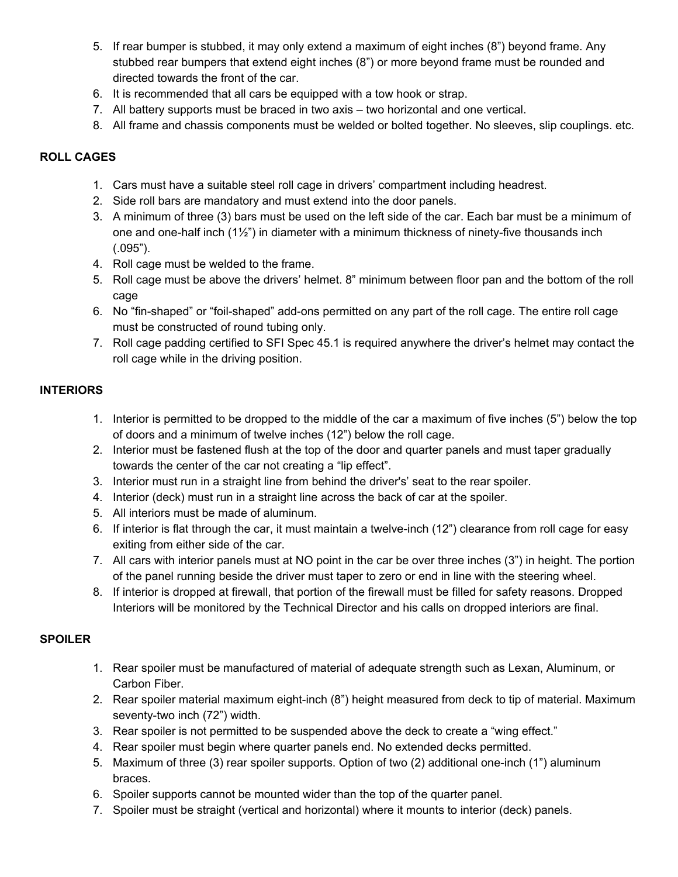- 5. If rear bumper is stubbed, it may only extend a maximum of eight inches (8") beyond frame. Any stubbed rear bumpers that extend eight inches (8") or more beyond frame must be rounded and directed towards the front of the car.
- 6. It is recommended that all cars be equipped with a tow hook or strap.
- 7. All battery supports must be braced in two axis two horizontal and one vertical.
- 8. All frame and chassis components must be welded or bolted together. No sleeves, slip couplings. etc.

#### **ROLL CAGES**

- 1. Cars must have a suitable steel roll cage in drivers' compartment including headrest.
- 2. Side roll bars are mandatory and must extend into the door panels.
- 3. A minimum of three (3) bars must be used on the left side of the car. Each bar must be a minimum of one and one-half inch  $(1\frac{1}{2})$  in diameter with a minimum thickness of ninety-five thousands inch (.095").
- 4. Roll cage must be welded to the frame.
- 5. Roll cage must be above the drivers' helmet. 8" minimum between floor pan and the bottom of the roll cage
- 6. No "fin-shaped" or "foil-shaped" add-ons permitted on any part of the roll cage. The entire roll cage must be constructed of round tubing only.
- 7. Roll cage padding certified to SFI Spec 45.1 is required anywhere the driver's helmet may contact the roll cage while in the driving position.

#### **INTERIORS**

- 1. Interior is permitted to be dropped to the middle of the car a maximum of five inches (5") below the top of doors and a minimum of twelve inches (12") below the roll cage.
- 2. Interior must be fastened flush at the top of the door and quarter panels and must taper gradually towards the center of the car not creating a "lip effect".
- 3. Interior must run in a straight line from behind the driver's' seat to the rear spoiler.
- 4. Interior (deck) must run in a straight line across the back of car at the spoiler.
- 5. All interiors must be made of aluminum.
- 6. If interior is flat through the car, it must maintain a twelve-inch (12") clearance from roll cage for easy exiting from either side of the car.
- 7. All cars with interior panels must at NO point in the car be over three inches (3") in height. The portion of the panel running beside the driver must taper to zero or end in line with the steering wheel.
- 8. If interior is dropped at firewall, that portion of the firewall must be filled for safety reasons. Dropped Interiors will be monitored by the Technical Director and his calls on dropped interiors are final.

#### **SPOILER**

- 1. Rear spoiler must be manufactured of material of adequate strength such as Lexan, Aluminum, or Carbon Fiber.
- 2. Rear spoiler material maximum eight-inch (8") height measured from deck to tip of material. Maximum seventy-two inch (72") width.
- 3. Rear spoiler is not permitted to be suspended above the deck to create a "wing effect."
- 4. Rear spoiler must begin where quarter panels end. No extended decks permitted.
- 5. Maximum of three (3) rear spoiler supports. Option of two (2) additional one-inch (1") aluminum braces.
- 6. Spoiler supports cannot be mounted wider than the top of the quarter panel.
- 7. Spoiler must be straight (vertical and horizontal) where it mounts to interior (deck) panels.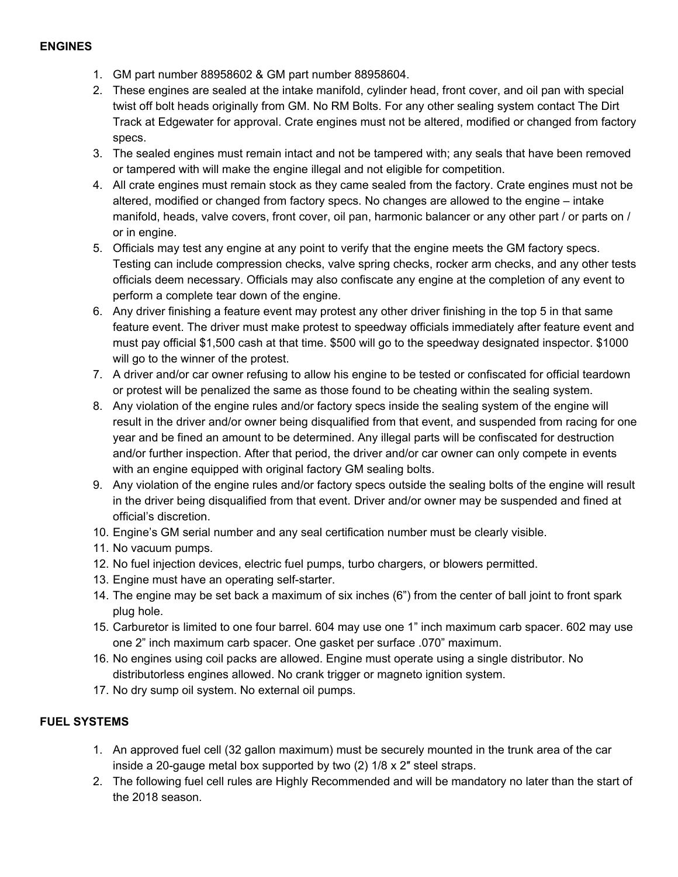#### **ENGINES**

- 1. GM part number 88958602 & GM part number 88958604.
- 2. These engines are sealed at the intake manifold, cylinder head, front cover, and oil pan with special twist off bolt heads originally from GM. No RM Bolts. For any other sealing system contact The Dirt Track at Edgewater for approval. Crate engines must not be altered, modified or changed from factory specs.
- 3. The sealed engines must remain intact and not be tampered with; any seals that have been removed or tampered with will make the engine illegal and not eligible for competition.
- 4. All crate engines must remain stock as they came sealed from the factory. Crate engines must not be altered, modified or changed from factory specs. No changes are allowed to the engine – intake manifold, heads, valve covers, front cover, oil pan, harmonic balancer or any other part / or parts on / or in engine.
- 5. Officials may test any engine at any point to verify that the engine meets the GM factory specs. Testing can include compression checks, valve spring checks, rocker arm checks, and any other tests officials deem necessary. Officials may also confiscate any engine at the completion of any event to perform a complete tear down of the engine.
- 6. Any driver finishing a feature event may protest any other driver finishing in the top 5 in that same feature event. The driver must make protest to speedway officials immediately after feature event and must pay official \$1,500 cash at that time. \$500 will go to the speedway designated inspector. \$1000 will go to the winner of the protest.
- 7. A driver and/or car owner refusing to allow his engine to be tested or confiscated for official teardown or protest will be penalized the same as those found to be cheating within the sealing system.
- 8. Any violation of the engine rules and/or factory specs inside the sealing system of the engine will result in the driver and/or owner being disqualified from that event, and suspended from racing for one year and be fined an amount to be determined. Any illegal parts will be confiscated for destruction and/or further inspection. After that period, the driver and/or car owner can only compete in events with an engine equipped with original factory GM sealing bolts.
- 9. Any violation of the engine rules and/or factory specs outside the sealing bolts of the engine will result in the driver being disqualified from that event. Driver and/or owner may be suspended and fined at official's discretion.
- 10. Engine's GM serial number and any seal certification number must be clearly visible.
- 11. No vacuum pumps.
- 12. No fuel injection devices, electric fuel pumps, turbo chargers, or blowers permitted.
- 13. Engine must have an operating self-starter.
- 14. The engine may be set back a maximum of six inches (6") from the center of ball joint to front spark plug hole.
- 15. Carburetor is limited to one four barrel. 604 may use one 1" inch maximum carb spacer. 602 may use one 2" inch maximum carb spacer. One gasket per surface .070" maximum.
- 16. No engines using coil packs are allowed. Engine must operate using a single distributor. No distributorless engines allowed. No crank trigger or magneto ignition system.
- 17. No dry sump oil system. No external oil pumps.

### **FUEL SYSTEMS**

- 1. An approved fuel cell (32 gallon maximum) must be securely mounted in the trunk area of the car inside a 20-gauge metal box supported by two (2) 1/8 x 2″ steel straps.
- 2. The following fuel cell rules are Highly Recommended and will be mandatory no later than the start of the 2018 season.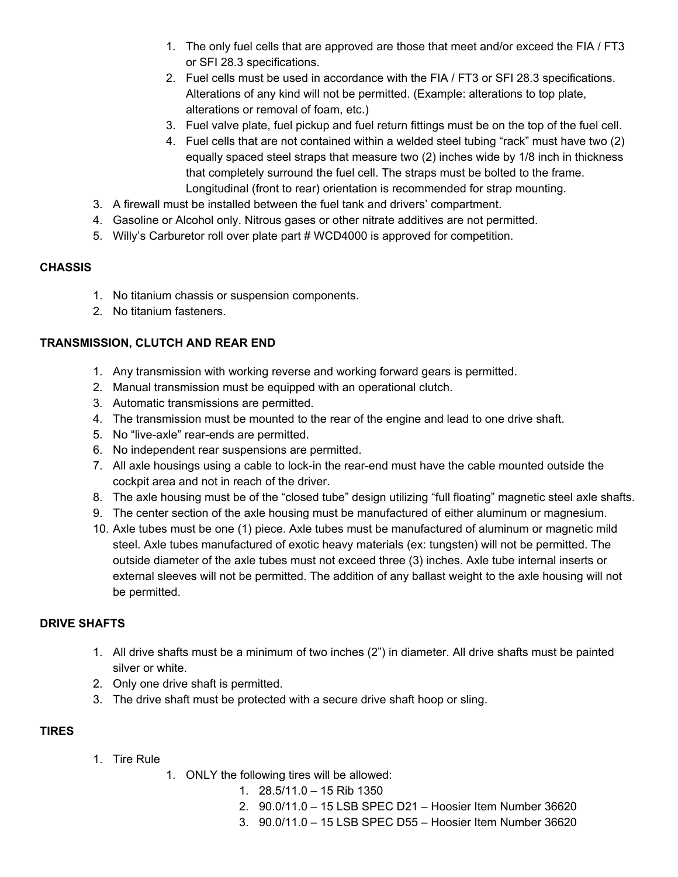- 1. The only fuel cells that are approved are those that meet and/or exceed the FIA / FT3 or SFI 28.3 specifications.
- 2. Fuel cells must be used in accordance with the FIA / FT3 or SFI 28.3 specifications. Alterations of any kind will not be permitted. (Example: alterations to top plate, alterations or removal of foam, etc.)
- 3. Fuel valve plate, fuel pickup and fuel return fittings must be on the top of the fuel cell.
- 4. Fuel cells that are not contained within a welded steel tubing "rack" must have two (2) equally spaced steel straps that measure two (2) inches wide by 1/8 inch in thickness that completely surround the fuel cell. The straps must be bolted to the frame. Longitudinal (front to rear) orientation is recommended for strap mounting.
- 3. A firewall must be installed between the fuel tank and drivers' compartment.
- 4. Gasoline or Alcohol only. Nitrous gases or other nitrate additives are not permitted.
- 5. Willy's Carburetor roll over plate part # WCD4000 is approved for competition.

#### **CHASSIS**

- 1. No titanium chassis or suspension components.
- 2. No titanium fasteners.

#### **TRANSMISSION, CLUTCH AND REAR END**

- 1. Any transmission with working reverse and working forward gears is permitted.
- 2. Manual transmission must be equipped with an operational clutch.
- 3. Automatic transmissions are permitted.
- 4. The transmission must be mounted to the rear of the engine and lead to one drive shaft.
- 5. No "live-axle" rear-ends are permitted.
- 6. No independent rear suspensions are permitted.
- 7. All axle housings using a cable to lock-in the rear-end must have the cable mounted outside the cockpit area and not in reach of the driver.
- 8. The axle housing must be of the "closed tube" design utilizing "full floating" magnetic steel axle shafts.
- 9. The center section of the axle housing must be manufactured of either aluminum or magnesium.
- 10. Axle tubes must be one (1) piece. Axle tubes must be manufactured of aluminum or magnetic mild steel. Axle tubes manufactured of exotic heavy materials (ex: tungsten) will not be permitted. The outside diameter of the axle tubes must not exceed three (3) inches. Axle tube internal inserts or external sleeves will not be permitted. The addition of any ballast weight to the axle housing will not be permitted.

#### **DRIVE SHAFTS**

- 1. All drive shafts must be a minimum of two inches (2") in diameter. All drive shafts must be painted silver or white.
- 2. Only one drive shaft is permitted.
- 3. The drive shaft must be protected with a secure drive shaft hoop or sling.

#### **TIRES**

- 1. Tire Rule
- 1. ONLY the following tires will be allowed:
	- 1. 28.5/11.0 15 Rib 1350
	- 2. 90.0/11.0 15 LSB SPEC D21 Hoosier Item Number 36620
	- 3. 90.0/11.0 15 LSB SPEC D55 Hoosier Item Number 36620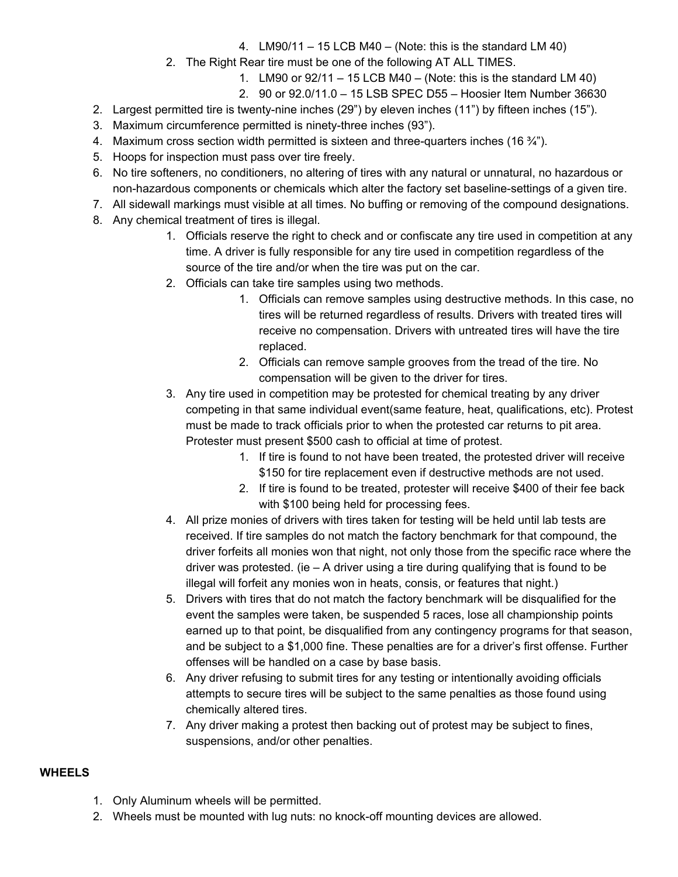- 4. LM90/11 15 LCB M40 (Note: this is the standard LM 40)
- 2. The Right Rear tire must be one of the following AT ALL TIMES.
	- 1. LM90 or  $92/11 15$  LCB M40 (Note: this is the standard LM 40)
	- 2. 90 or 92.0/11.0 15 LSB SPEC D55 Hoosier Item Number 36630
- 2. Largest permitted tire is twenty-nine inches (29") by eleven inches (11") by fifteen inches (15").
- 3. Maximum circumference permitted is ninety-three inches (93").
- 4. Maximum cross section width permitted is sixteen and three-quarters inches (16 $\frac{3}{4}$ ").
- 5. Hoops for inspection must pass over tire freely.
- 6. No tire softeners, no conditioners, no altering of tires with any natural or unnatural, no hazardous or non-hazardous components or chemicals which alter the factory set baseline-settings of a given tire.
- 7. All sidewall markings must visible at all times. No buffing or removing of the compound designations.
- 8. Any chemical treatment of tires is illegal.
	- 1. Officials reserve the right to check and or confiscate any tire used in competition at any time. A driver is fully responsible for any tire used in competition regardless of the source of the tire and/or when the tire was put on the car.
	- 2. Officials can take tire samples using two methods.
		- 1. Officials can remove samples using destructive methods. In this case, no tires will be returned regardless of results. Drivers with treated tires will receive no compensation. Drivers with untreated tires will have the tire replaced.
		- 2. Officials can remove sample grooves from the tread of the tire. No compensation will be given to the driver for tires.
	- 3. Any tire used in competition may be protested for chemical treating by any driver competing in that same individual event(same feature, heat, qualifications, etc). Protest must be made to track officials prior to when the protested car returns to pit area. Protester must present \$500 cash to official at time of protest.
		- 1. If tire is found to not have been treated, the protested driver will receive \$150 for tire replacement even if destructive methods are not used.
		- 2. If tire is found to be treated, protester will receive \$400 of their fee back with \$100 being held for processing fees.
	- 4. All prize monies of drivers with tires taken for testing will be held until lab tests are received. If tire samples do not match the factory benchmark for that compound, the driver forfeits all monies won that night, not only those from the specific race where the driver was protested. (ie  $-$  A driver using a tire during qualifying that is found to be illegal will forfeit any monies won in heats, consis, or features that night.)
	- 5. Drivers with tires that do not match the factory benchmark will be disqualified for the event the samples were taken, be suspended 5 races, lose all championship points earned up to that point, be disqualified from any contingency programs for that season, and be subject to a \$1,000 fine. These penalties are for a driver's first offense. Further offenses will be handled on a case by base basis.
	- 6. Any driver refusing to submit tires for any testing or intentionally avoiding officials attempts to secure tires will be subject to the same penalties as those found using chemically altered tires.
	- 7. Any driver making a protest then backing out of protest may be subject to fines, suspensions, and/or other penalties.

# **WHEELS**

- 1. Only Aluminum wheels will be permitted.
- 2. Wheels must be mounted with lug nuts: no knock-off mounting devices are allowed.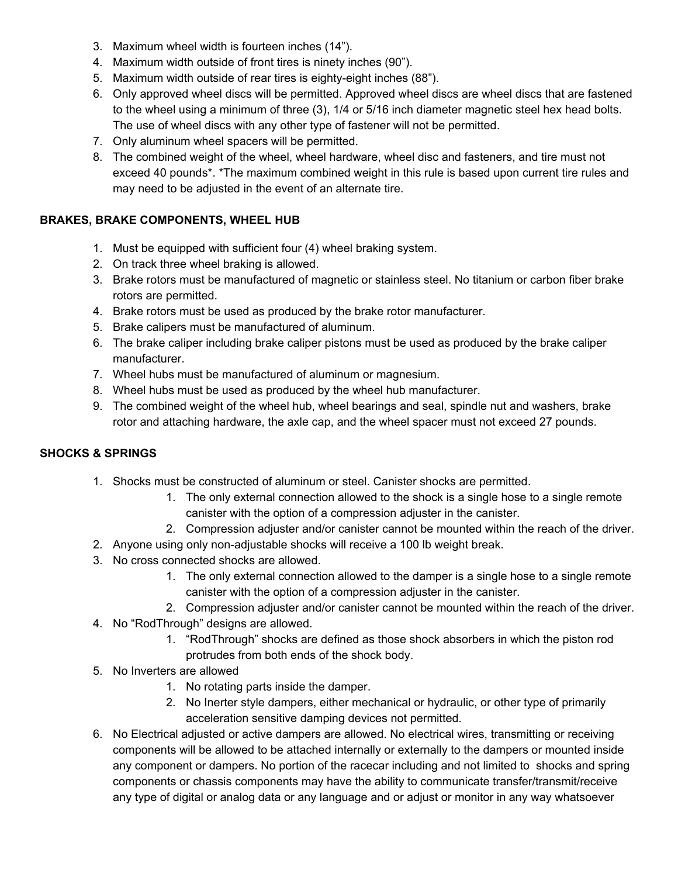- 3. Maximum wheel width is fourteen inches (14").
- 4. Maximum width outside of front tires is ninety inches (90").
- 5. Maximum width outside of rear tires is eighty-eight inches (88").
- 6. Only approved wheel discs will be permitted. Approved wheel discs are wheel discs that are fastened to the wheel using a minimum of three (3), 1/4 or 5/16 inch diameter magnetic steel hex head bolts. The use of wheel discs with any other type of fastener will not be permitted.
- 7. Only aluminum wheel spacers will be permitted.
- 8. The combined weight of the wheel, wheel hardware, wheel disc and fasteners, and tire must not exceed 40 pounds\*. \*The maximum combined weight in this rule is based upon current tire rules and may need to be adjusted in the event of an alternate tire.

## **BRAKES, BRAKE COMPONENTS, WHEEL HUB**

- 1. Must be equipped with sufficient four (4) wheel braking system.
- 2. On track three wheel braking is allowed.
- 3. Brake rotors must be manufactured of magnetic or stainless steel. No titanium or carbon fiber brake rotors are permitted.
- 4. Brake rotors must be used as produced by the brake rotor manufacturer.
- 5. Brake calipers must be manufactured of aluminum.
- 6. The brake caliper including brake caliper pistons must be used as produced by the brake caliper manufacturer.
- 7. Wheel hubs must be manufactured of aluminum or magnesium.
- 8. Wheel hubs must be used as produced by the wheel hub manufacturer.
- 9. The combined weight of the wheel hub, wheel bearings and seal, spindle nut and washers, brake rotor and attaching hardware, the axle cap, and the wheel spacer must not exceed 27 pounds.

# **SHOCKS & SPRINGS**

- 1. Shocks must be constructed of aluminum or steel. Canister shocks are permitted.
	- 1. The only external connection allowed to the shock is a single hose to a single remote canister with the option of a compression adjuster in the canister.
	- 2. Compression adjuster and/or canister cannot be mounted within the reach of the driver.
- 2. Anyone using only non-adjustable shocks will receive a 100 lb weight break.
- 3. No cross connected shocks are allowed.
	- 1. The only external connection allowed to the damper is a single hose to a single remote canister with the option of a compression adjuster in the canister.
	- 2. Compression adjuster and/or canister cannot be mounted within the reach of the driver.
- 4. No "RodThrough" designs are allowed.
	- 1. "RodThrough" shocks are defined as those shock absorbers in which the piston rod protrudes from both ends of the shock body.
- 5. No Inverters are allowed
	- 1. No rotating parts inside the damper.
	- 2. No Inerter style dampers, either mechanical or hydraulic, or other type of primarily acceleration sensitive damping devices not permitted.
- 6. No Electrical adjusted or active dampers are allowed. No electrical wires, transmitting or receiving components will be allowed to be attached internally or externally to the dampers or mounted inside any component or dampers. No portion of the racecar including and not limited to shocks and spring components or chassis components may have the ability to communicate transfer/transmit/receive any type of digital or analog data or any language and or adjust or monitor in any way whatsoever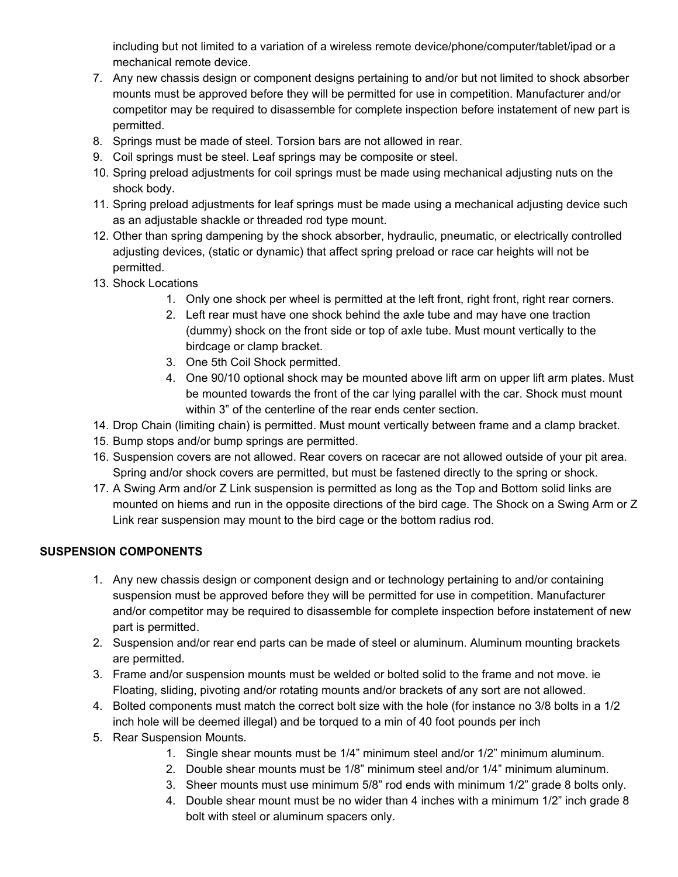including but not limited to a variation of a wireless remote device/phone/computer/tablet/ipad or a mechanical remote device.

- 7. Any new chassis design or component designs pertaining to and/or but not limited to shock absorber mounts must be approved before they will be permitted for use in competition. Manufacturer and/or competitor may be required to disassemble for complete inspection before instatement of new part is permitted.
- 8. Springs must be made of steel. Torsion bars are not allowed in rear.
- 9. Coil springs must be steel. Leaf springs may be composite or steel.
- 10. Spring preload adjustments for coil springs must be made using mechanical adjusting nuts on the shock body.
- 11. Spring preload adjustments for leaf springs must be made using a mechanical adjusting device such as an adjustable shackle or threaded rod type mount.
- 12. Other than spring dampening by the shock absorber, hydraulic, pneumatic, or electrically controlled adjusting devices, (static or dynamic) that affect spring preload or race car heights will not be permitted.
- 13. Shock Locations
	- 1. Only one shock per wheel is permitted at the left front, right front, right rear corners.
	- 2. Left rear must have one shock behind the axle tube and may have one traction (dummy) shock on the front side or top of axle tube. Must mount vertically to the birdcage or clamp bracket.
	- 3. One 5th Coil Shock permitted.
	- 4. One 90/10 optional shock may be mounted above lift arm on upper lift arm plates. Must be mounted towards the front of the car lying parallel with the car. Shock must mount within 3" of the centerline of the rear ends center section.
- 14. Drop Chain (limiting chain) is permitted. Must mount vertically between frame and a clamp bracket.
- 15. Bump stops and/or bump springs are permitted.
- 16. Suspension covers are not allowed. Rear covers on racecar are not allowed outside of your pit area. Spring and/or shock covers are permitted, but must be fastened directly to the spring or shock.
- 17. A Swing Arm and/or Z Link suspension is permitted as long as the Top and Bottom solid links are mounted on hiems and run in the opposite directions of the bird cage. The Shock on a Swing Arm or Z Link rear suspension may mount to the bird cage or the bottom radius rod.

## **SUSPENSION COMPONENTS**

- 1. Any new chassis design or component design and or technology pertaining to and/or containing suspension must be approved before they will be permitted for use in competition. Manufacturer and/or competitor may be required to disassemble for complete inspection before instatement of new part is permitted.
- 2. Suspension and/or rear end parts can be made of steel or aluminum. Aluminum mounting brackets are permitted.
- 3. Frame and/or suspension mounts must be welded or bolted solid to the frame and not move. ie Floating, sliding, pivoting and/or rotating mounts and/or brackets of any sort are not allowed.
- 4. Bolted components must match the correct bolt size with the hole (for instance no 3/8 bolts in a 1/2 inch hole will be deemed illegal) and be torqued to a min of 40 foot pounds per inch
- 5. Rear Suspension Mounts.
	- 1. Single shear mounts must be 1/4" minimum steel and/or 1/2" minimum aluminum.
	- 2. Double shear mounts must be 1/8" minimum steel and/or 1/4" minimum aluminum.
	- 3. Sheer mounts must use minimum 5/8" rod ends with minimum 1/2" grade 8 bolts only.
	- 4. Double shear mount must be no wider than 4 inches with a minimum 1/2" inch grade 8 bolt with steel or aluminum spacers only.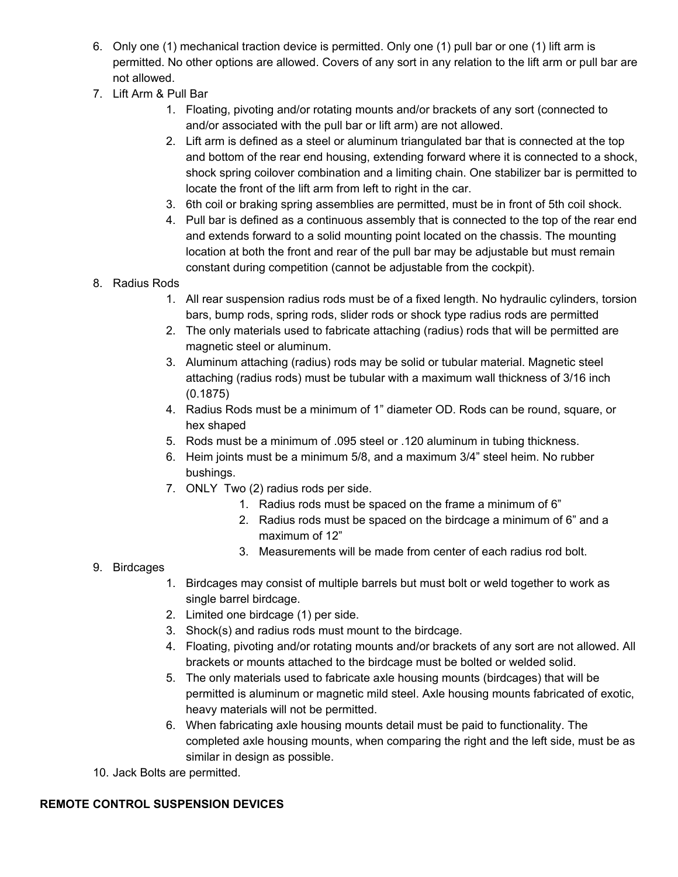- 6. Only one (1) mechanical traction device is permitted. Only one (1) pull bar or one (1) lift arm is permitted. No other options are allowed. Covers of any sort in any relation to the lift arm or pull bar are not allowed.
- 7. Lift Arm & Pull Bar
	- 1. Floating, pivoting and/or rotating mounts and/or brackets of any sort (connected to and/or associated with the pull bar or lift arm) are not allowed.
	- 2. Lift arm is defined as a steel or aluminum triangulated bar that is connected at the top and bottom of the rear end housing, extending forward where it is connected to a shock, shock spring coilover combination and a limiting chain. One stabilizer bar is permitted to locate the front of the lift arm from left to right in the car.
	- 3. 6th coil or braking spring assemblies are permitted, must be in front of 5th coil shock.
	- 4. Pull bar is defined as a continuous assembly that is connected to the top of the rear end and extends forward to a solid mounting point located on the chassis. The mounting location at both the front and rear of the pull bar may be adjustable but must remain constant during competition (cannot be adjustable from the cockpit).
- 8. Radius Rods
	- 1. All rear suspension radius rods must be of a fixed length. No hydraulic cylinders, torsion bars, bump rods, spring rods, slider rods or shock type radius rods are permitted
	- 2. The only materials used to fabricate attaching (radius) rods that will be permitted are magnetic steel or aluminum.
	- 3. Aluminum attaching (radius) rods may be solid or tubular material. Magnetic steel attaching (radius rods) must be tubular with a maximum wall thickness of 3/16 inch (0.1875)
	- 4. Radius Rods must be a minimum of 1" diameter OD. Rods can be round, square, or hex shaped
	- 5. Rods must be a minimum of .095 steel or .120 aluminum in tubing thickness.
	- 6. Heim joints must be a minimum 5/8, and a maximum 3/4" steel heim. No rubber bushings.
	- 7. ONLY Two (2) radius rods per side.
		- 1. Radius rods must be spaced on the frame a minimum of 6"
		- 2. Radius rods must be spaced on the birdcage a minimum of 6" and a maximum of 12"
		- 3. Measurements will be made from center of each radius rod bolt.
- 9. Birdcages
	- 1. Birdcages may consist of multiple barrels but must bolt or weld together to work as single barrel birdcage.
	- 2. Limited one birdcage (1) per side.
	- 3. Shock(s) and radius rods must mount to the birdcage.
	- 4. Floating, pivoting and/or rotating mounts and/or brackets of any sort are not allowed. All brackets or mounts attached to the birdcage must be bolted or welded solid.
	- 5. The only materials used to fabricate axle housing mounts (birdcages) that will be permitted is aluminum or magnetic mild steel. Axle housing mounts fabricated of exotic, heavy materials will not be permitted.
	- 6. When fabricating axle housing mounts detail must be paid to functionality. The completed axle housing mounts, when comparing the right and the left side, must be as similar in design as possible.
- 10. Jack Bolts are permitted.

# **REMOTE CONTROL SUSPENSION DEVICES**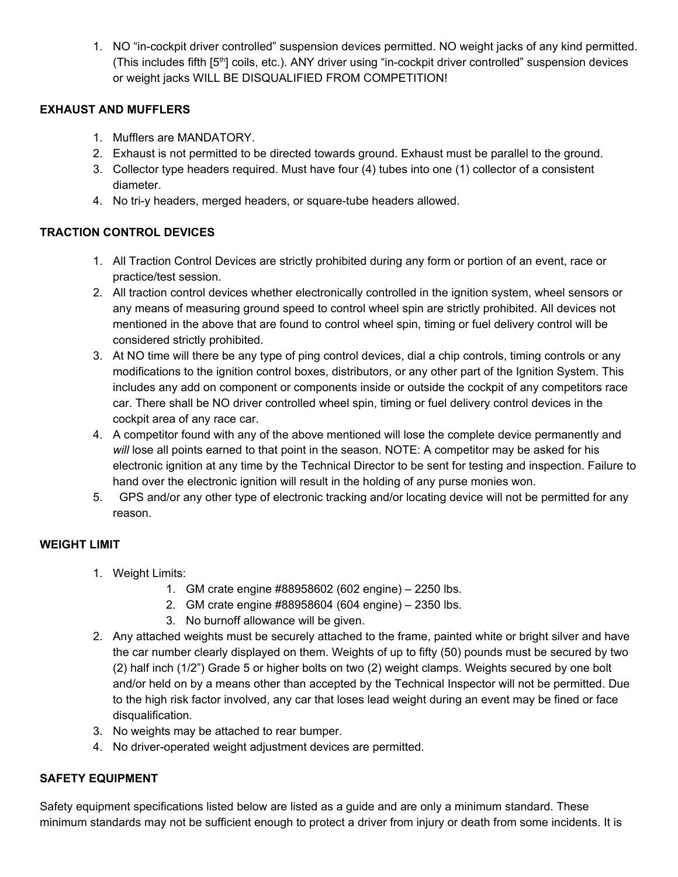1. NO "in-cockpit driver controlled" suspension devices permitted. NO weight jacks of any kind permitted. (This includes fifth [5<sup>th</sup>] coils, etc.). ANY driver using "in-cockpit driver controlled" suspension devices or weight jacks WILL BE DISQUALIFIED FROM COMPETITION!

### **EXHAUST AND MUFFLERS**

- 1. Mufflers are MANDATORY.
- 2. Exhaust is not permitted to be directed towards ground. Exhaust must be parallel to the ground.
- 3. Collector type headers required. Must have four (4) tubes into one (1) collector of a consistent diameter.
- 4. No tri-y headers, merged headers, or square-tube headers allowed.

### **TRACTION CONTROL DEVICES**

- 1. All Traction Control Devices are strictly prohibited during any form or portion of an event, race or practice/test session.
- 2. All traction control devices whether electronically controlled in the ignition system, wheel sensors or any means of measuring ground speed to control wheel spin are strictly prohibited. All devices not mentioned in the above that are found to control wheel spin, timing or fuel delivery control will be considered strictly prohibited.
- 3. At NO time will there be any type of ping control devices, dial a chip controls, timing controls or any modifications to the ignition control boxes, distributors, or any other part of the Ignition System. This includes any add on component or components inside or outside the cockpit of any competitors race car. There shall be NO driver controlled wheel spin, timing or fuel delivery control devices in the cockpit area of any race car.
- 4. A competitor found with any of the above mentioned will lose the complete device permanently and *will* lose all points earned to that point in the season. NOTE: A competitor may be asked for his electronic ignition at any time by the Technical Director to be sent for testing and inspection. Failure to hand over the electronic ignition will result in the holding of any purse monies won.
- 5. GPS and/or any other type of electronic tracking and/or locating device will not be permitted for any reason.

## **WEIGHT LIMIT**

- 1. Weight Limits:
	- 1. GM crate engine #88958602 (602 engine) 2250 lbs.
	- 2. GM crate engine #88958604 (604 engine) 2350 lbs.
	- 3. No burnoff allowance will be given.
- 2. Any attached weights must be securely attached to the frame, painted white or bright silver and have the car number clearly displayed on them. Weights of up to fifty (50) pounds must be secured by two (2) half inch (1/2") Grade 5 or higher bolts on two (2) weight clamps. Weights secured by one bolt and/or held on by a means other than accepted by the Technical Inspector will not be permitted. Due to the high risk factor involved, any car that loses lead weight during an event may be fined or face disqualification.
- 3. No weights may be attached to rear bumper.
- 4. No driver-operated weight adjustment devices are permitted.

#### **SAFETY EQUIPMENT**

Safety equipment specifications listed below are listed as a guide and are only a minimum standard. These minimum standards may not be sufficient enough to protect a driver from injury or death from some incidents. It is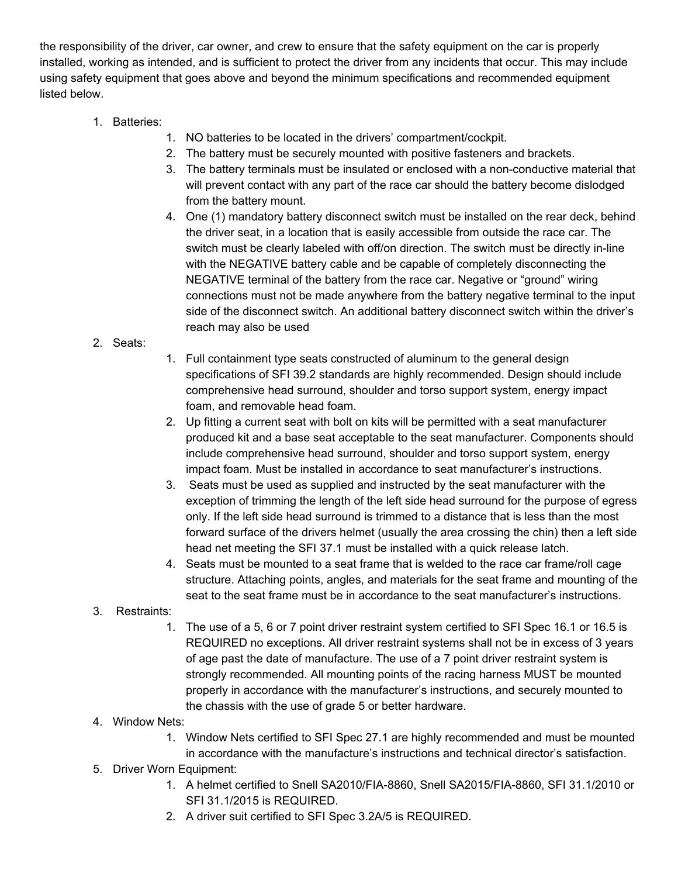the responsibility of the driver, car owner, and crew to ensure that the safety equipment on the car is properly installed, working as intended, and is sufficient to protect the driver from any incidents that occur. This may include using safety equipment that goes above and beyond the minimum specifications and recommended equipment listed below.

- 1. Batteries:
	- 1. NO batteries to be located in the drivers' compartment/cockpit.
	- 2. The battery must be securely mounted with positive fasteners and brackets.
	- 3. The battery terminals must be insulated or enclosed with a non-conductive material that will prevent contact with any part of the race car should the battery become dislodged from the battery mount.
	- 4. One (1) mandatory battery disconnect switch must be installed on the rear deck, behind the driver seat, in a location that is easily accessible from outside the race car. The switch must be clearly labeled with off/on direction. The switch must be directly in-line with the NEGATIVE battery cable and be capable of completely disconnecting the NEGATIVE terminal of the battery from the race car. Negative or "ground" wiring connections must not be made anywhere from the battery negative terminal to the input side of the disconnect switch. An additional battery disconnect switch within the driver's reach may also be used
- 2. Seats:
- 1. Full containment type seats constructed of aluminum to the general design specifications of SFI 39.2 standards are highly recommended. Design should include comprehensive head surround, shoulder and torso support system, energy impact foam, and removable head foam.
- 2. Up fitting a current seat with bolt on kits will be permitted with a seat manufacturer produced kit and a base seat acceptable to the seat manufacturer. Components should include comprehensive head surround, shoulder and torso support system, energy impact foam. Must be installed in accordance to seat manufacturer's instructions.
- 3. Seats must be used as supplied and instructed by the seat manufacturer with the exception of trimming the length of the left side head surround for the purpose of egress only. If the left side head surround is trimmed to a distance that is less than the most forward surface of the drivers helmet (usually the area crossing the chin) then a left side head net meeting the SFI 37.1 must be installed with a quick release latch.
- 4. Seats must be mounted to a seat frame that is welded to the race car frame/roll cage structure. Attaching points, angles, and materials for the seat frame and mounting of the seat to the seat frame must be in accordance to the seat manufacturer's instructions.
- 3. Restraints:
	- 1. The use of a 5, 6 or 7 point driver restraint system certified to SFI Spec 16.1 or 16.5 is REQUIRED no exceptions. All driver restraint systems shall not be in excess of 3 years of age past the date of manufacture. The use of a 7 point driver restraint system is strongly recommended. All mounting points of the racing harness MUST be mounted properly in accordance with the manufacturer's instructions, and securely mounted to the chassis with the use of grade 5 or better hardware.
- 4. Window Nets:
	- 1. Window Nets certified to SFI Spec 27.1 are highly recommended and must be mounted in accordance with the manufacture's instructions and technical director's satisfaction.
- 5. Driver Worn Equipment:
	- 1. A helmet certified to Snell SA2010/FIA-8860, Snell SA2015/FIA-8860, SFI 31.1/2010 or SFI 31.1/2015 is REQUIRED.
	- 2. A driver suit certified to SFI Spec 3.2A/5 is REQUIRED.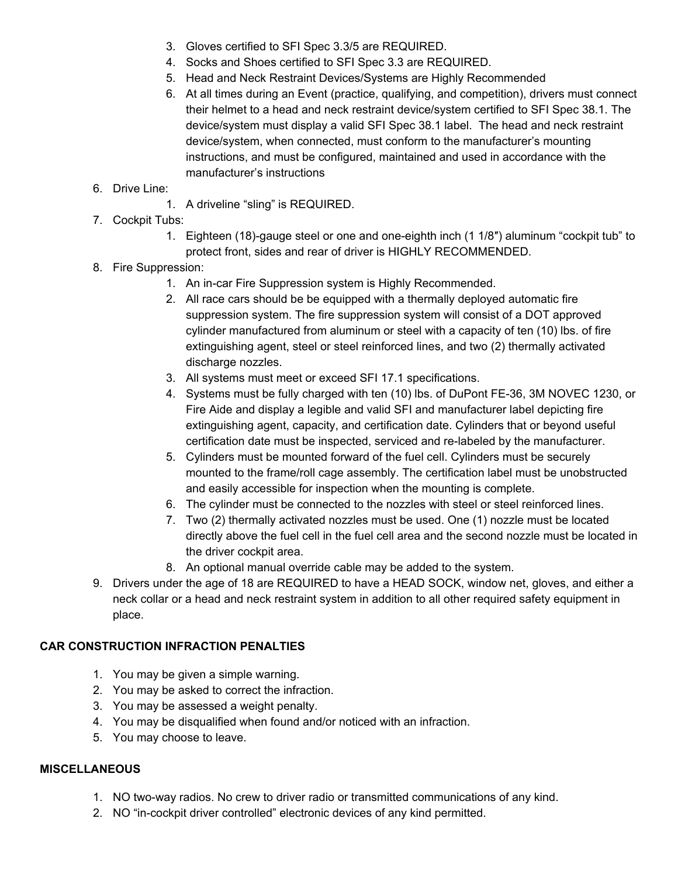- 3. Gloves certified to SFI Spec 3.3/5 are REQUIRED.
- 4. Socks and Shoes certified to SFI Spec 3.3 are REQUIRED.
- 5. Head and Neck Restraint Devices/Systems are Highly Recommended
- 6. At all times during an Event (practice, qualifying, and competition), drivers must connect their helmet to a head and neck restraint device/system certified to SFI Spec 38.1. The device/system must display a valid SFI Spec 38.1 label. The head and neck restraint device/system, when connected, must conform to the manufacturer's mounting instructions, and must be configured, maintained and used in accordance with the manufacturer's instructions
- 6. Drive Line:
	- 1. A driveline "sling" is REQUIRED.
- 7. Cockpit Tubs:
	- 1. Eighteen (18)-gauge steel or one and one-eighth inch (1 1/8″) aluminum "cockpit tub" to protect front, sides and rear of driver is HIGHLY RECOMMENDED.
- 8. Fire Suppression:
	- 1. An in-car Fire Suppression system is Highly Recommended.
	- 2. All race cars should be be equipped with a thermally deployed automatic fire suppression system. The fire suppression system will consist of a DOT approved cylinder manufactured from aluminum or steel with a capacity of ten (10) lbs. of fire extinguishing agent, steel or steel reinforced lines, and two (2) thermally activated discharge nozzles.
	- 3. All systems must meet or exceed SFI 17.1 specifications.
	- 4. Systems must be fully charged with ten (10) lbs. of DuPont FE-36, 3M NOVEC 1230, or Fire Aide and display a legible and valid SFI and manufacturer label depicting fire extinguishing agent, capacity, and certification date. Cylinders that or beyond useful certification date must be inspected, serviced and re-labeled by the manufacturer.
	- 5. Cylinders must be mounted forward of the fuel cell. Cylinders must be securely mounted to the frame/roll cage assembly. The certification label must be unobstructed and easily accessible for inspection when the mounting is complete.
	- 6. The cylinder must be connected to the nozzles with steel or steel reinforced lines.
	- 7. Two (2) thermally activated nozzles must be used. One (1) nozzle must be located directly above the fuel cell in the fuel cell area and the second nozzle must be located in the driver cockpit area.
	- 8. An optional manual override cable may be added to the system.
- 9. Drivers under the age of 18 are REQUIRED to have a HEAD SOCK, window net, gloves, and either a neck collar or a head and neck restraint system in addition to all other required safety equipment in place.

#### **CAR CONSTRUCTION INFRACTION PENALTIES**

- 1. You may be given a simple warning.
- 2. You may be asked to correct the infraction.
- 3. You may be assessed a weight penalty.
- 4. You may be disqualified when found and/or noticed with an infraction.
- 5. You may choose to leave.

#### **MISCELLANEOUS**

- 1. NO two-way radios. No crew to driver radio or transmitted communications of any kind.
- 2. NO "in-cockpit driver controlled" electronic devices of any kind permitted.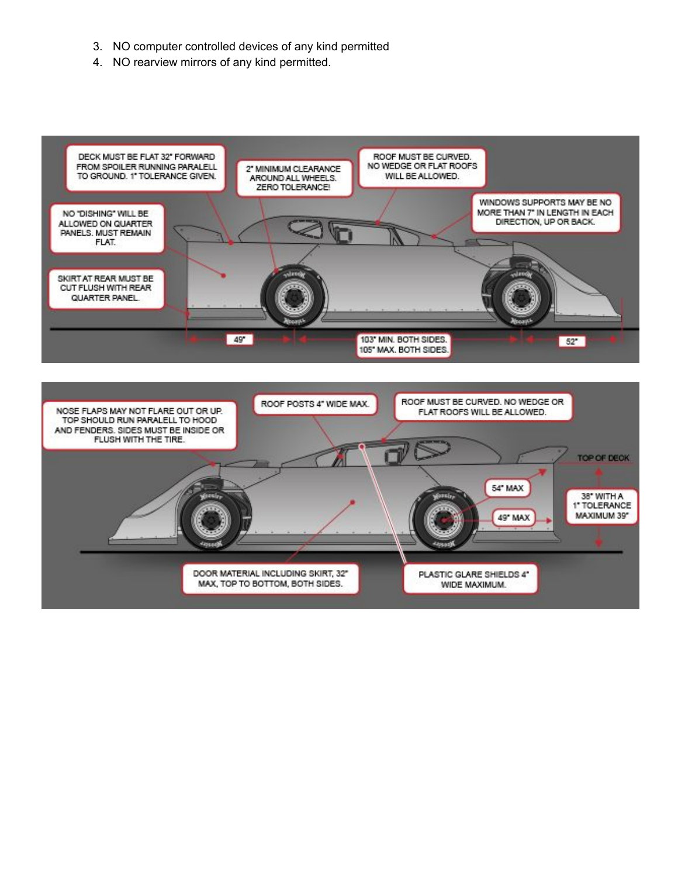- 3. NO computer controlled devices of any kind permitted
- 4. NO rearview mirrors of any kind permitted.



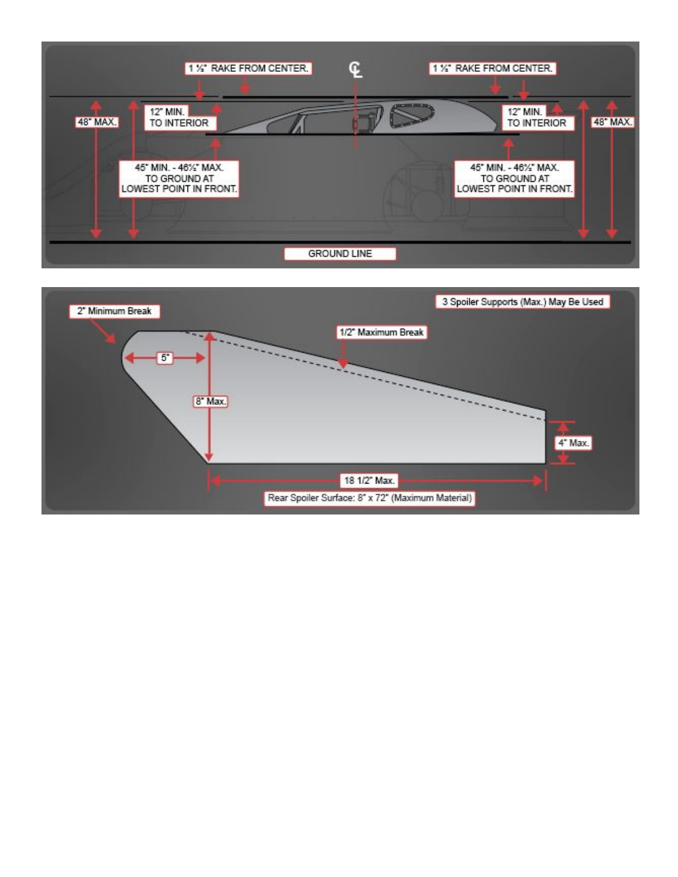